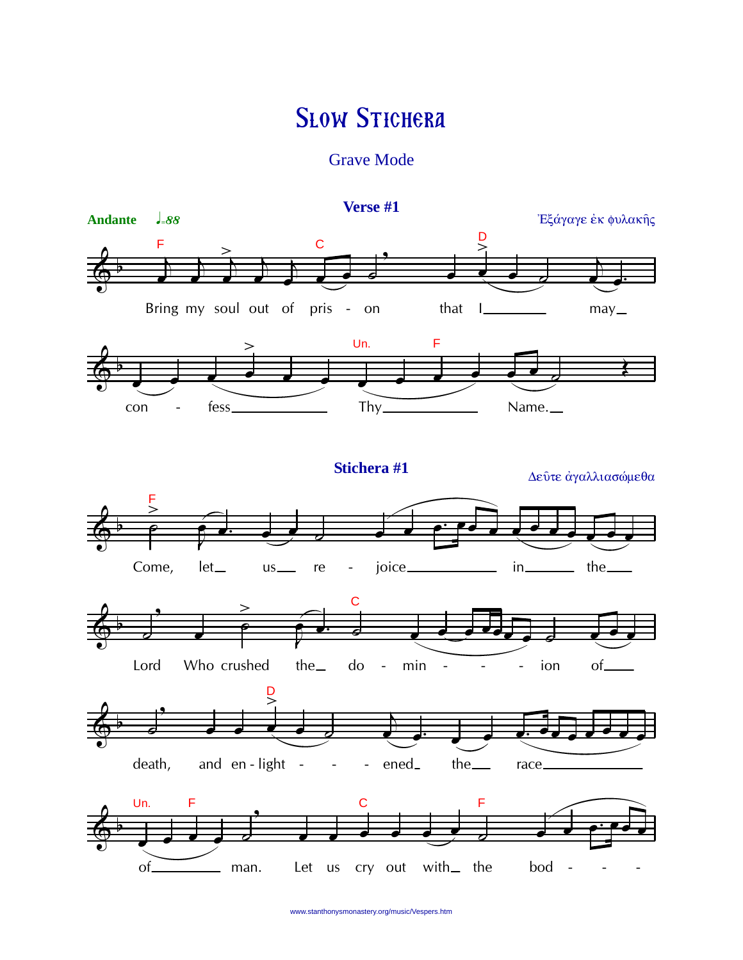## **SLOW STICHERA**

**Grave Mode** 

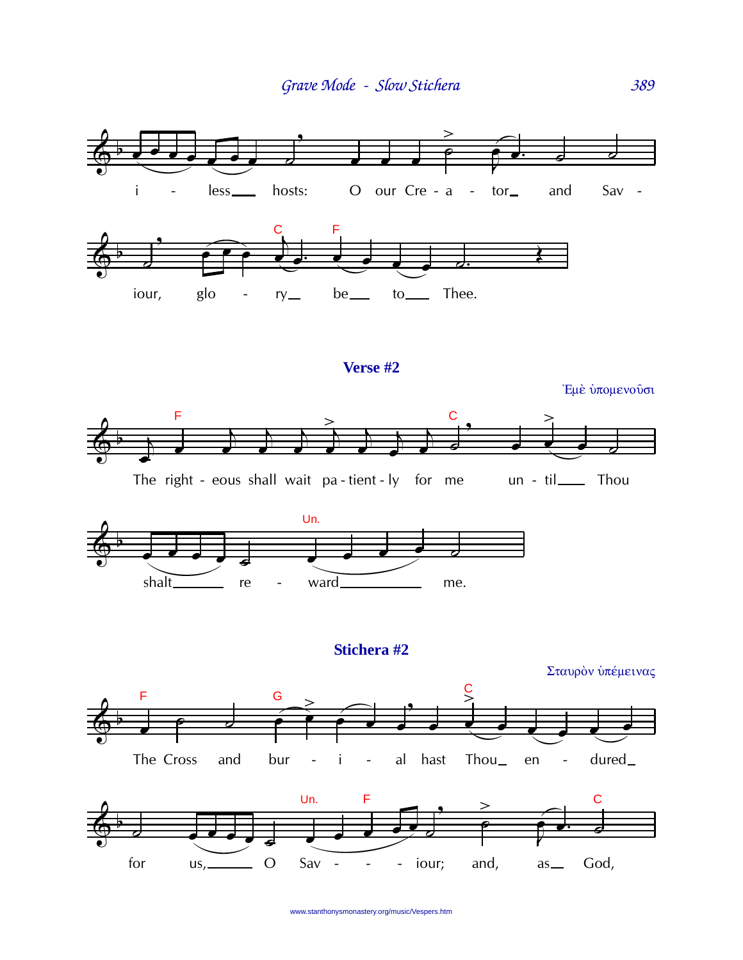

## Stichera #2

Σταυρόν ύπέμεινας



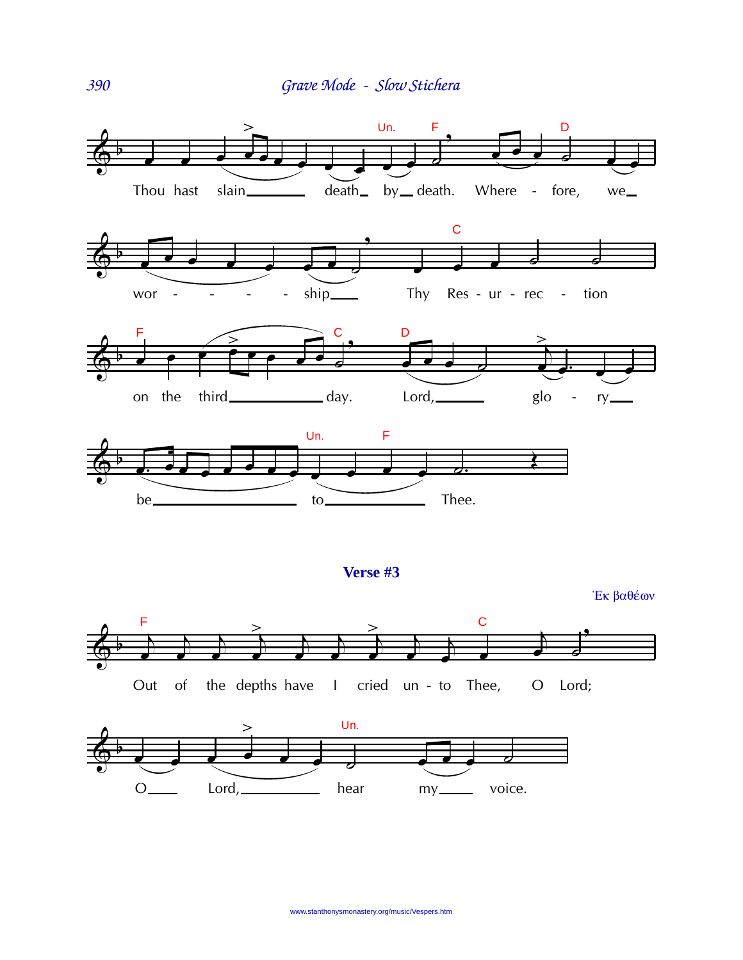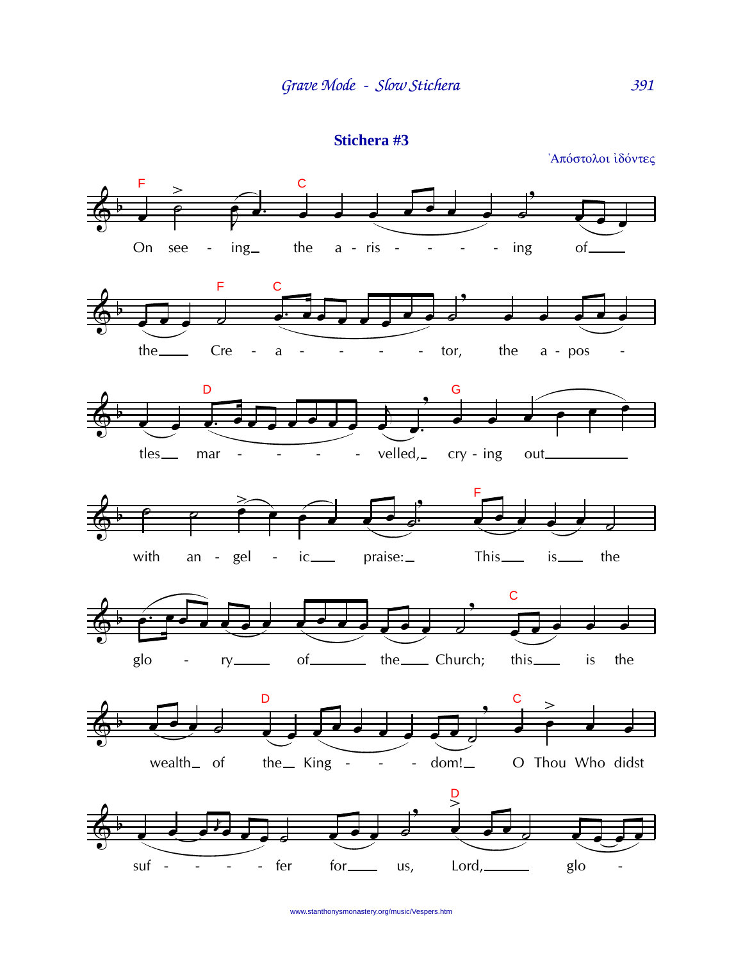Stichera #3

Απόστολοι ιδόντες

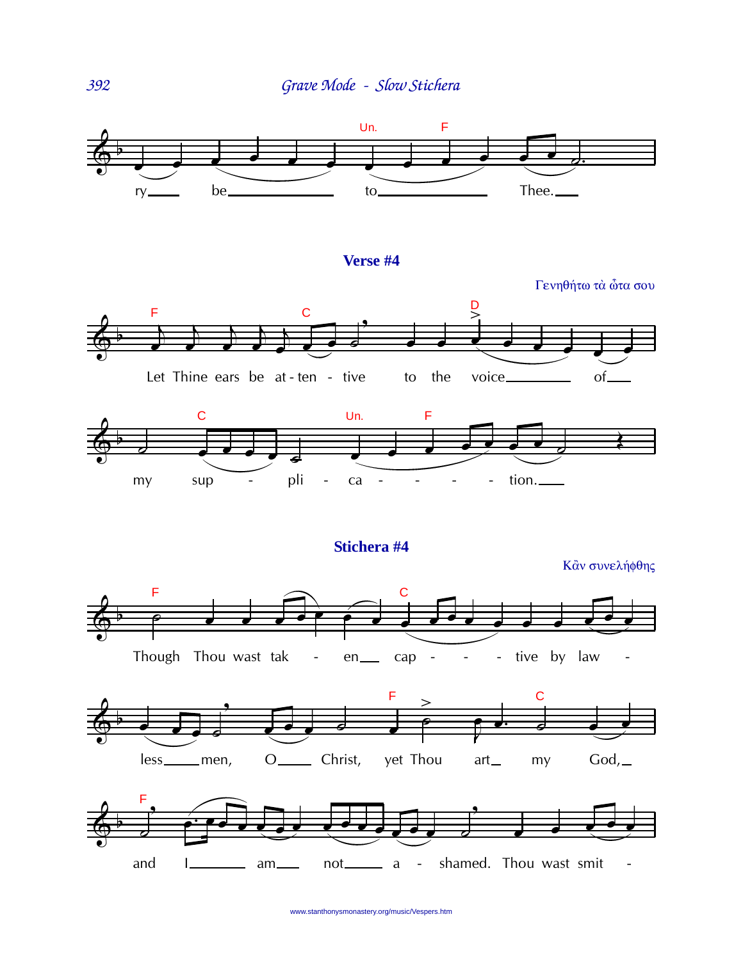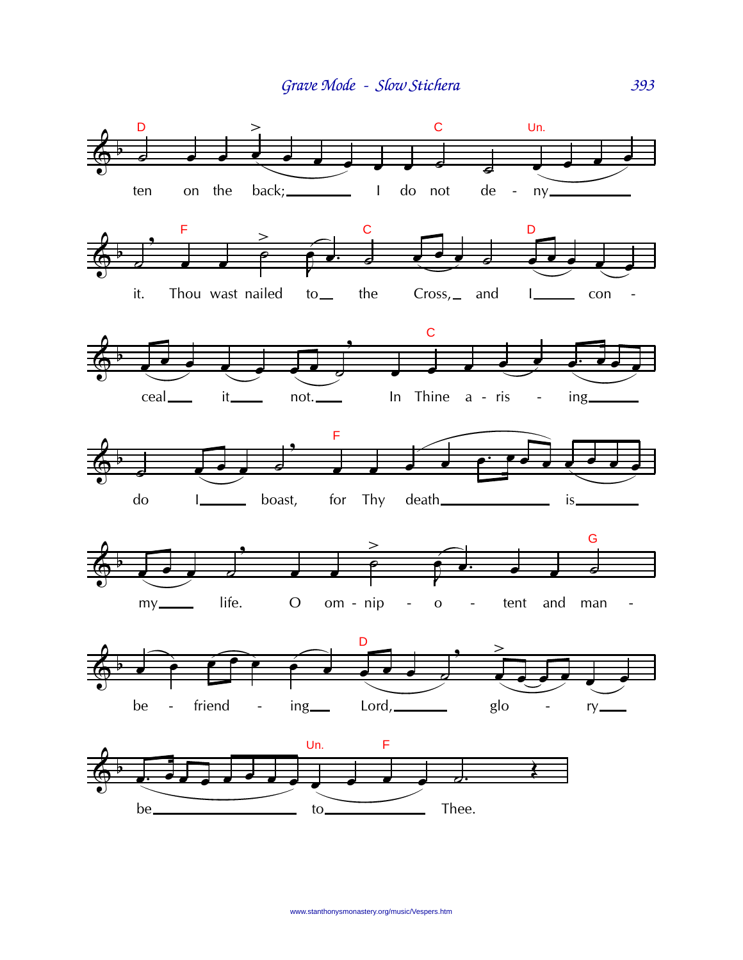Grave Mode - Slow Stichera

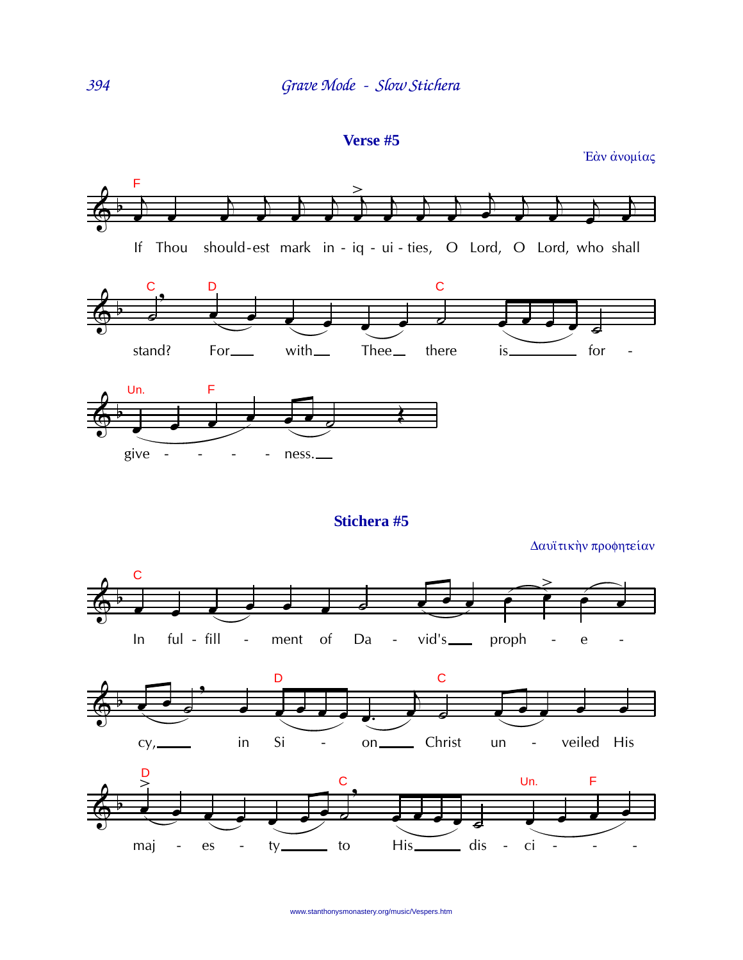Verse #5

Έάν ανομίας

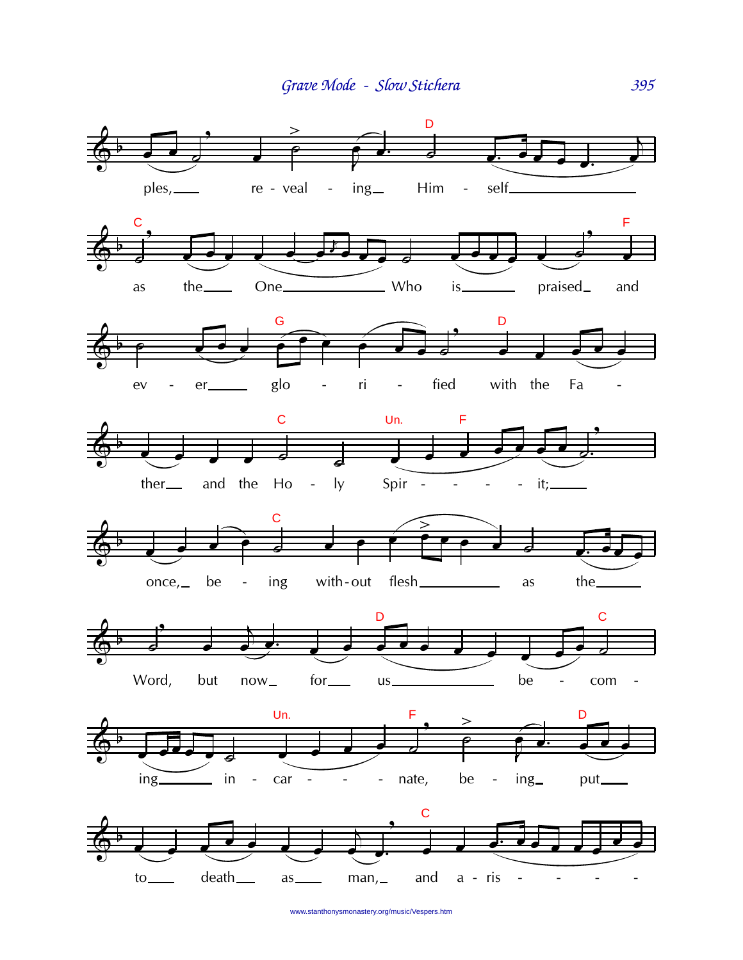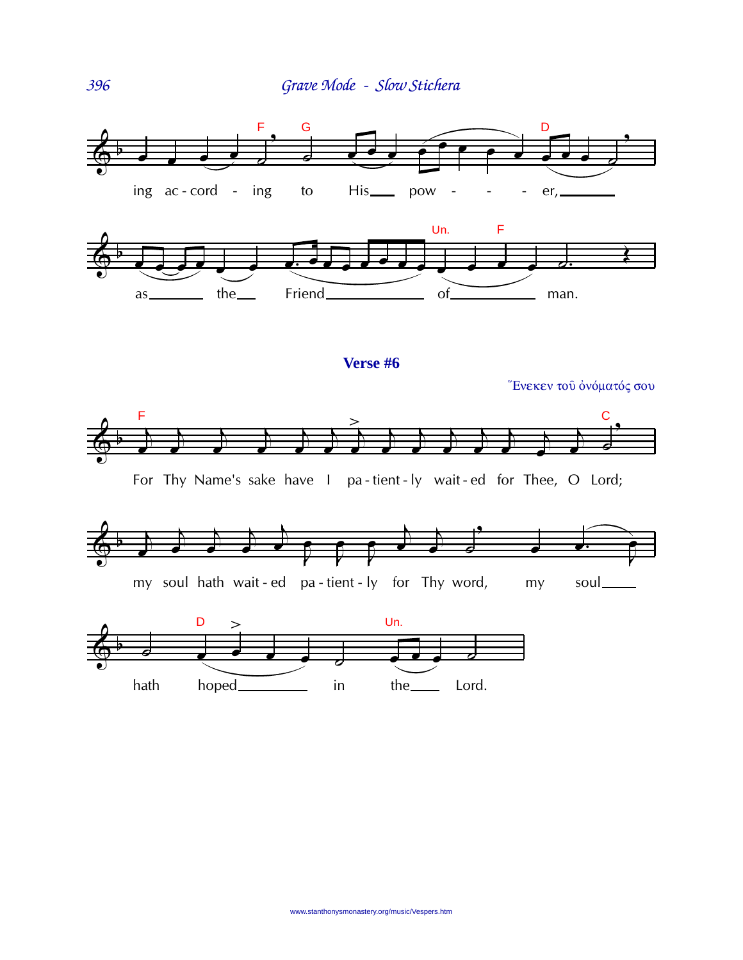

**Verse #6**

"Ενεκεν του όνόματός σου



For Thy Name's sake have I pa - tient - ly wait - ed for Thee, O Lord;





396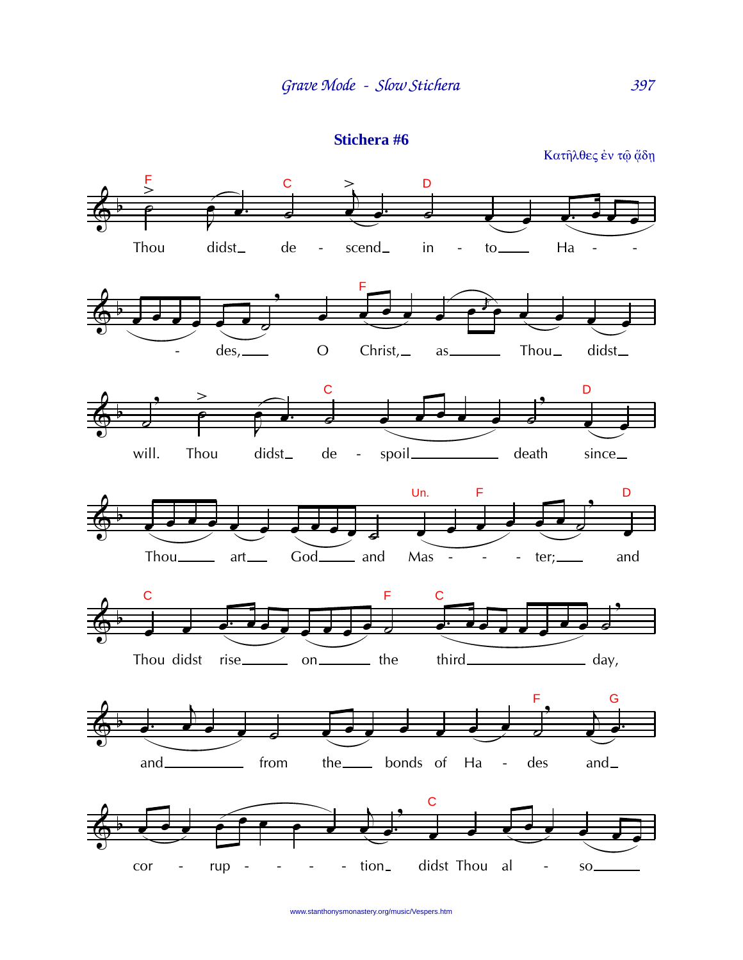```
Stichera #6
```
 $\overline{F}$  $\mathbf C$  $\mathsf D$  $\, > \,$ Thou didst\_  $\rm de$ scend\_  $in$ Ha  $to$  $\sim$   $\overline{\phantom{a}}$  $\overline{\phantom{a}}$ F  $des, \_$  $\overline{O}$  $Christ, \_$ Thou\_ didst\_  $as_{-}$  $\overline{C}$ D didst\_ spoil\_ death will. Thou  $de$ since\_  $\sim 10^{-1}$ Un.  $\mathsf F$ D  $God$  and Mas - $art$ <sub>——</sub>  $-$  ter; and  $\overline{a}$ F  $\overline{C}$  $\mathbf C$ Thou didst rise\_\_\_\_\_\_\_\_ on\_\_\_\_\_\_\_\_ the third\_  $=$  day, G F the\_\_\_\_\_\_ bonds of Ha  $and$ from des  $and$  $\mathbb{L}$ 



Κατηλθες έν τω άδη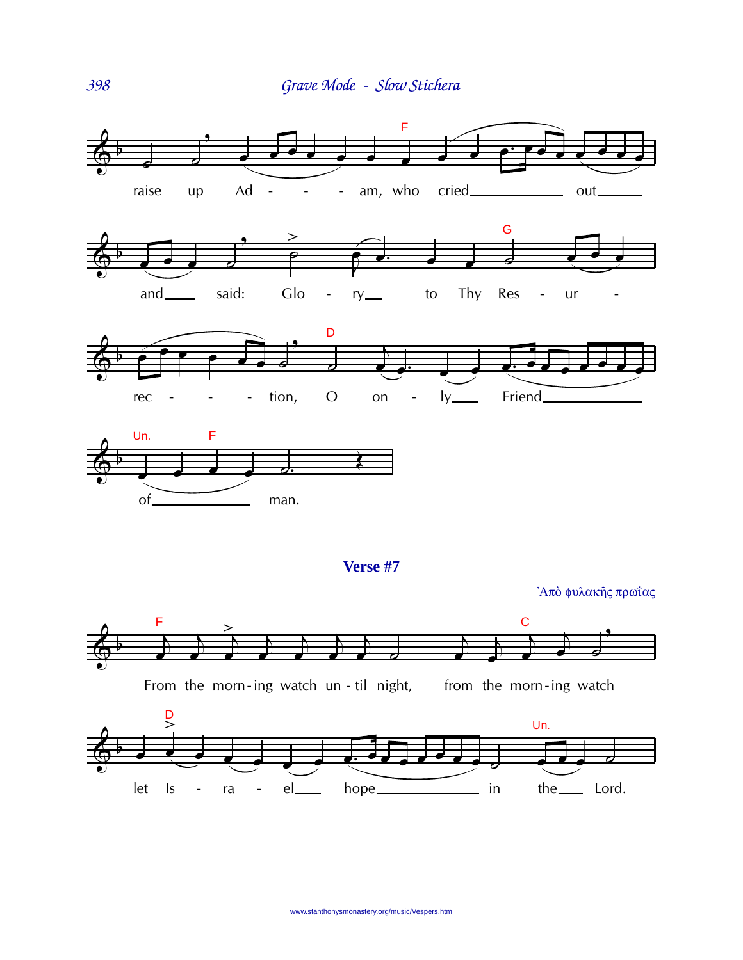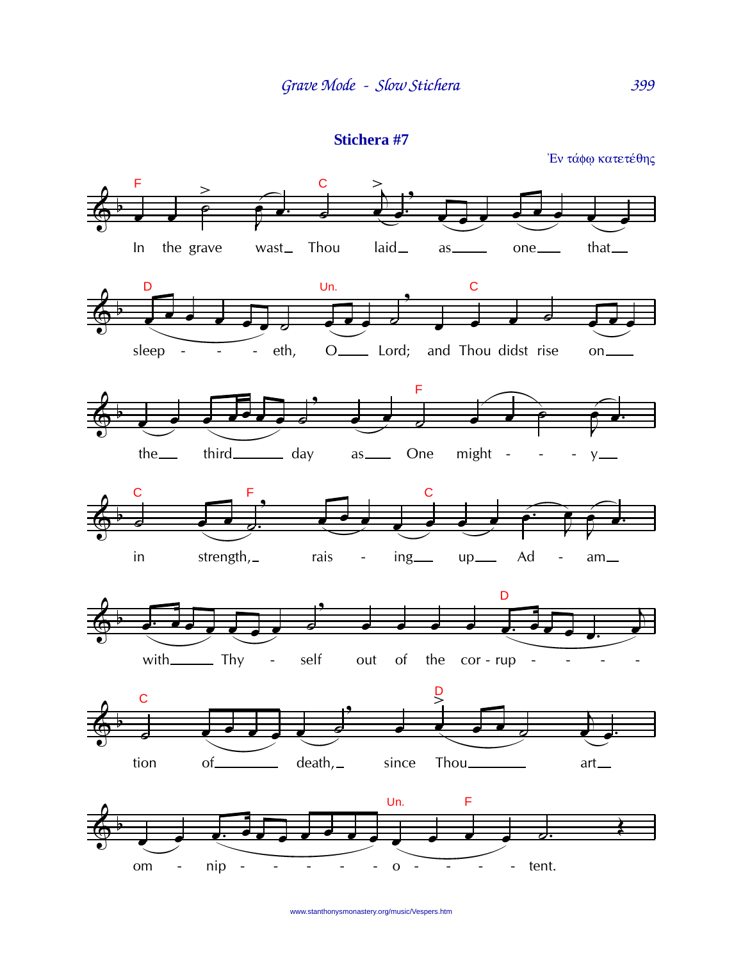```
Stichera #7
```
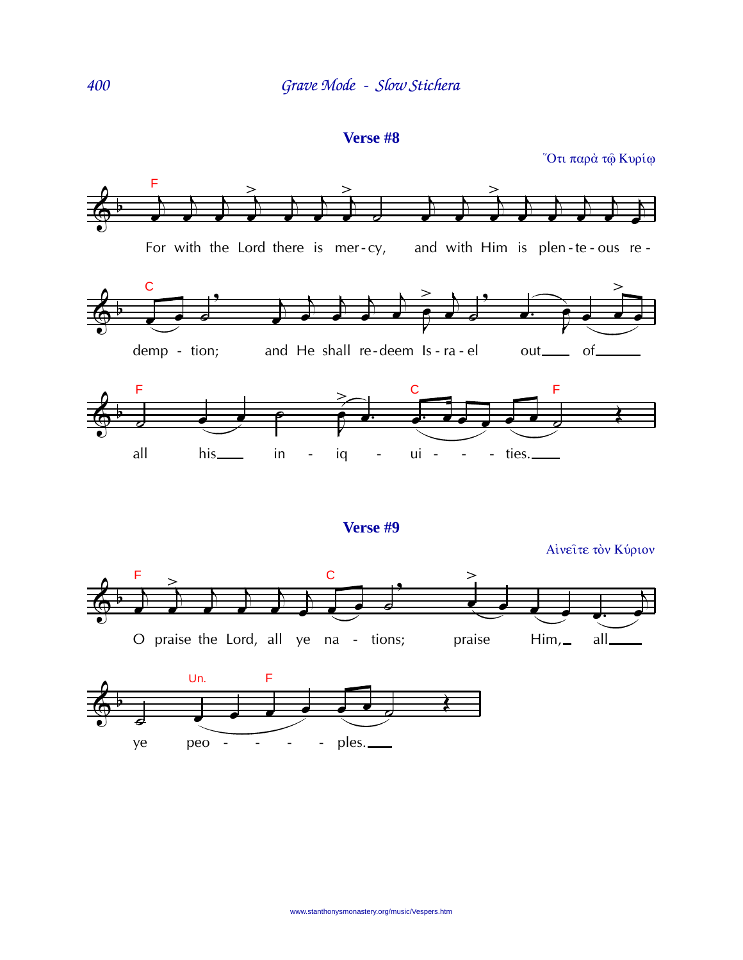Verse #8

Ότι παρά τώ Κυρίω